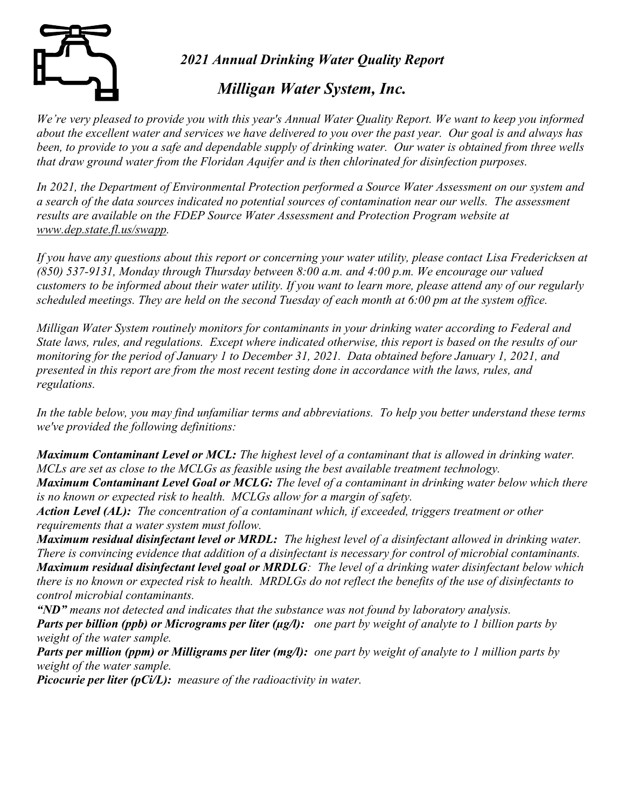

2021 Annual Drinking Water Quality Report

## Milligan Water System, Inc.

We're very pleased to provide you with this year's Annual Water Quality Report. We want to keep you informed about the excellent water and services we have delivered to you over the past year. Our goal is and always has been, to provide to you a safe and dependable supply of drinking water. Our water is obtained from three wells that draw ground water from the Floridan Aquifer and is then chlorinated for disinfection purposes.

In 2021, the Department of Environmental Protection performed a Source Water Assessment on our system and a search of the data sources indicated no potential sources of contamination near our wells. The assessment results are available on the FDEP Source Water Assessment and Protection Program website at www.dep.state.fl.us/swapp.

If you have any questions about this report or concerning your water utility, please contact Lisa Fredericksen at (850) 537-9131, Monday through Thursday between  $8:00$  a.m. and  $4:00$  p.m. We encourage our valued customers to be informed about their water utility. If you want to learn more, please attend any of our regularly scheduled meetings. They are held on the second Tuesday of each month at 6:00 pm at the system office.

Milligan Water System routinely monitors for contaminants in your drinking water according to Federal and State laws, rules, and regulations. Except where indicated otherwise, this report is based on the results of our monitoring for the period of January 1 to December 31, 2021. Data obtained before January 1, 2021, and presented in this report are from the most recent testing done in accordance with the laws, rules, and regulations.

In the table below, you may find unfamiliar terms and abbreviations. To help you better understand these terms we've provided the following definitions:

Maximum Contaminant Level or MCL: The highest level of a contaminant that is allowed in drinking water. MCLs are set as close to the MCLGs as feasible using the best available treatment technology. Maximum Contaminant Level Goal or MCLG: The level of a contaminant in drinking water below which there

is no known or expected risk to health. MCLGs allow for a margin of safety.

Action Level (AL): The concentration of a contaminant which, if exceeded, triggers treatment or other requirements that a water system must follow.

Maximum residual disinfectant level or MRDL: The highest level of a disinfectant allowed in drinking water. There is convincing evidence that addition of a disinfectant is necessary for control of microbial contaminants. Maximum residual disinfectant level goal or MRDLG: The level of a drinking water disinfectant below which there is no known or expected risk to health. MRDLGs do not reflect the benefits of the use of disinfectants to control microbial contaminants.

"ND" means not detected and indicates that the substance was not found by laboratory analysis.

**Parts per billion (ppb) or Micrograms per liter (** $\mu$ **g/l):** one part by weight of analyte to 1 billion parts by weight of the water sample.

**Parts per million (ppm) or Milligrams per liter (mg/l):** one part by weight of analyte to 1 million parts by weight of the water sample.

**Picocurie per liter (pCi/L):** measure of the radioactivity in water.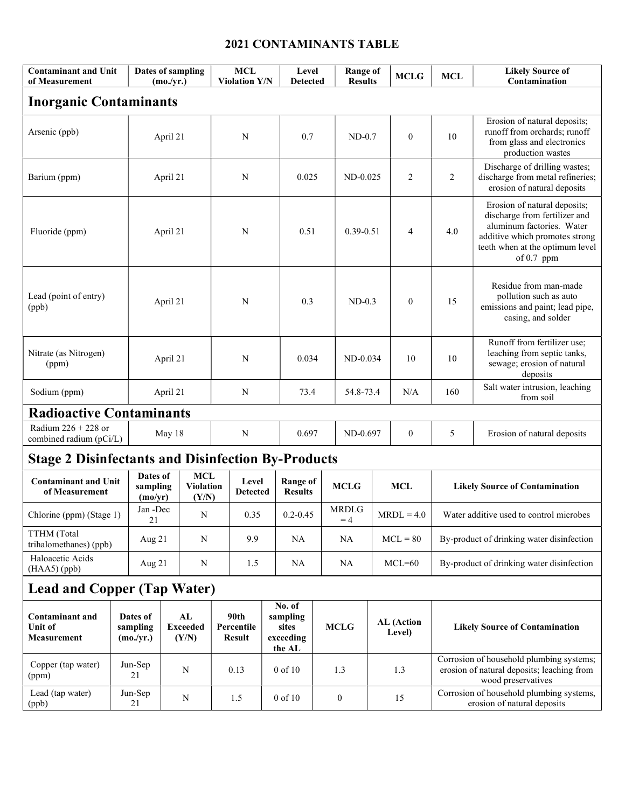## 2021 CONTAMINANTS TABLE

| <b>Contaminant and Unit</b><br>of Measurement             |          | Dates of sampling<br>(mo./yr.)    |                                |                                         | <b>MCL</b><br><b>Violation Y/N</b>  |                          | Level<br><b>Detected</b>          |                                                    | <b>Range of</b><br><b>Results</b> |                      | <b>MCLG</b>          | <b>MCL</b>       | <b>Likely Source of</b><br>Contamination                                                                                                                                        |                                                                                                          |
|-----------------------------------------------------------|----------|-----------------------------------|--------------------------------|-----------------------------------------|-------------------------------------|--------------------------|-----------------------------------|----------------------------------------------------|-----------------------------------|----------------------|----------------------|------------------|---------------------------------------------------------------------------------------------------------------------------------------------------------------------------------|----------------------------------------------------------------------------------------------------------|
| <b>Inorganic Contaminants</b>                             |          |                                   |                                |                                         |                                     |                          |                                   |                                                    |                                   |                      |                      |                  |                                                                                                                                                                                 |                                                                                                          |
| Arsenic (ppb)                                             | April 21 |                                   |                                | N                                       |                                     |                          | 0.7                               |                                                    | $ND-0.7$                          |                      | $\boldsymbol{0}$     | 10               | Erosion of natural deposits;<br>runoff from orchards; runoff<br>from glass and electronics<br>production wastes                                                                 |                                                                                                          |
| Barium (ppm)                                              | April 21 |                                   |                                | N                                       |                                     |                          | 0.025                             |                                                    | $ND-0.025$                        |                      | 2                    | $\overline{c}$   | Discharge of drilling wastes;<br>discharge from metal refineries;<br>erosion of natural deposits                                                                                |                                                                                                          |
| Fluoride (ppm)                                            |          | April 21                          |                                |                                         | N                                   |                          | 0.51                              |                                                    | $0.39 - 0.51$                     |                      | 4                    | 4.0              | Erosion of natural deposits;<br>discharge from fertilizer and<br>aluminum factories. Water<br>additive which promotes strong<br>teeth when at the optimum level<br>of $0.7$ ppm |                                                                                                          |
| Lead (point of entry)<br>(ppb)                            |          | April 21                          |                                |                                         | N                                   |                          |                                   | 0.3                                                |                                   | $ND-0.3$             |                      | $\boldsymbol{0}$ | 15                                                                                                                                                                              | Residue from man-made<br>pollution such as auto<br>emissions and paint; lead pipe,<br>casing, and solder |
| Nitrate (as Nitrogen)<br>(ppm)                            |          | April 21                          |                                |                                         | N                                   |                          |                                   | 0.034                                              |                                   | $ND-0.034$           |                      | 10               | 10                                                                                                                                                                              | Runoff from fertilizer use;<br>leaching from septic tanks,<br>sewage; erosion of natural<br>deposits     |
| Sodium (ppm)                                              |          | April 21                          |                                | N                                       |                                     |                          | 73.4                              |                                                    | 54.8-73.4                         |                      | N/A                  | 160              | Salt water intrusion, leaching<br>from soil                                                                                                                                     |                                                                                                          |
| <b>Radioactive Contaminants</b>                           |          |                                   |                                |                                         |                                     |                          |                                   |                                                    |                                   |                      |                      |                  |                                                                                                                                                                                 |                                                                                                          |
| Radium $226 + 228$ or<br>combined radium (pCi/L)          |          | May 18                            |                                |                                         | N                                   |                          |                                   | 0.697                                              |                                   | ND-0.697             |                      | $\boldsymbol{0}$ | 5                                                                                                                                                                               | Erosion of natural deposits                                                                              |
| <b>Stage 2 Disinfectants and Disinfection By-Products</b> |          |                                   |                                |                                         |                                     |                          |                                   |                                                    |                                   |                      |                      |                  |                                                                                                                                                                                 |                                                                                                          |
| <b>Contaminant and Unit</b><br>of Measurement             |          | Dates of<br>sampling<br>(mo/yr)   |                                | <b>MCL</b><br><b>Violation</b><br>(Y/N) |                                     | Level<br><b>Detected</b> | <b>Range of</b><br><b>Results</b> |                                                    |                                   | <b>MCLG</b>          |                      | <b>MCL</b>       | <b>Likely Source of Contamination</b>                                                                                                                                           |                                                                                                          |
| Chlorine (ppm) (Stage 1)                                  |          | Jan -Dec<br>21                    |                                | N                                       |                                     | 0.35                     |                                   | $0.2 - 0.45$                                       |                                   | <b>MRDLG</b><br>$=4$ | $MRDL = 4.0$         |                  | Water additive used to control microbes                                                                                                                                         |                                                                                                          |
| TTHM (Total<br>trihalomethanes) (ppb)                     |          | Aug 21                            |                                | ${\bf N}$                               |                                     | 9.9                      |                                   | <b>NA</b>                                          |                                   | <b>NA</b>            | $MCL = 80$           |                  | By-product of drinking water disinfection                                                                                                                                       |                                                                                                          |
| Haloacetic Acids<br>(HAA5) (ppb)                          |          | Aug $21$                          |                                | N                                       |                                     | 1.5                      |                                   | <b>NA</b>                                          |                                   | <b>NA</b>            |                      | $MCL=60$         |                                                                                                                                                                                 | By-product of drinking water disinfection                                                                |
| <b>Lead and Copper (Tap Water)</b>                        |          |                                   |                                |                                         |                                     |                          |                                   |                                                    |                                   |                      |                      |                  |                                                                                                                                                                                 |                                                                                                          |
| <b>Contaminant and</b><br><b>Unit of</b><br>Measurement   |          | Dates of<br>sampling<br>(mo./yr.) | AL<br><b>Exceeded</b><br>(Y/N) |                                         | 90th<br>Percentile<br><b>Result</b> |                          |                                   | No. of<br>sampling<br>sites<br>exceeding<br>the AL |                                   | <b>MCLG</b>          | AL (Action<br>Level) |                  | <b>Likely Source of Contamination</b>                                                                                                                                           |                                                                                                          |
| Copper (tap water)<br>(ppm)                               |          | Jun-Sep<br>21                     |                                | N                                       |                                     | 0.13                     |                                   | 0 of 10                                            |                                   | 1.3                  |                      | 1.3              | Corrosion of household plumbing systems;<br>erosion of natural deposits; leaching from<br>wood preservatives                                                                    |                                                                                                          |
| Lead (tap water)<br>(ppb)                                 |          | Jun-Sep<br>21                     |                                | N                                       |                                     | 1.5                      |                                   | 0 of 10                                            |                                   | $\boldsymbol{0}$     | 15                   |                  | Corrosion of household plumbing systems,<br>erosion of natural deposits                                                                                                         |                                                                                                          |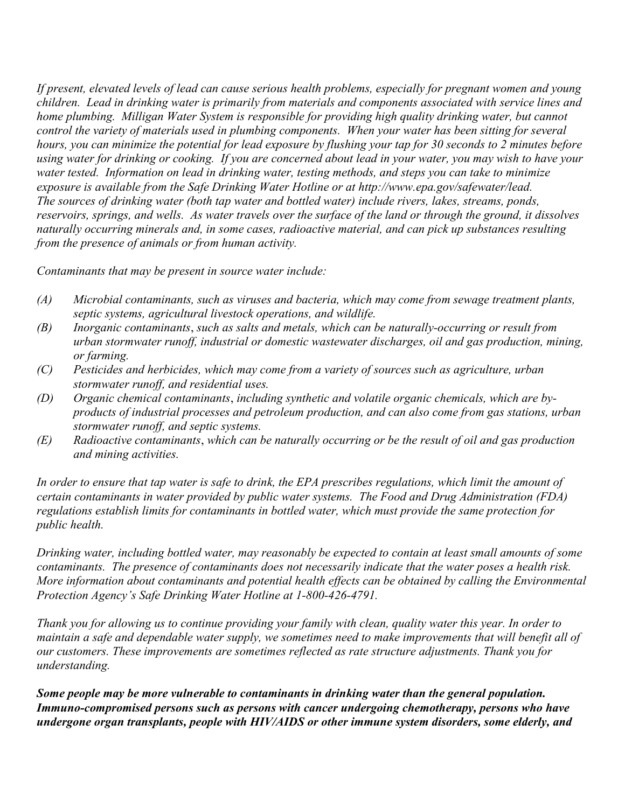If present, elevated levels of lead can cause serious health problems, especially for pregnant women and young children. Lead in drinking water is primarily from materials and components associated with service lines and home plumbing. Milligan Water System is responsible for providing high quality drinking water, but cannot control the variety of materials used in plumbing components. When your water has been sitting for several hours, you can minimize the potential for lead exposure by flushing your tap for 30 seconds to 2 minutes before using water for drinking or cooking. If you are concerned about lead in your water, you may wish to have your water tested. Information on lead in drinking water, testing methods, and steps you can take to minimize exposure is available from the Safe Drinking Water Hotline or at http://www.epa.gov/safewater/lead. The sources of drinking water (both tap water and bottled water) include rivers, lakes, streams, ponds, reservoirs, springs, and wells. As water travels over the surface of the land or through the ground, it dissolves naturally occurring minerals and, in some cases, radioactive material, and can pick up substances resulting from the presence of animals or from human activity.

Contaminants that may be present in source water include:

- (A) Microbial contaminants, such as viruses and bacteria, which may come from sewage treatment plants, septic systems, agricultural livestock operations, and wildlife.
- (B) Inorganic contaminants, such as salts and metals, which can be naturally-occurring or result from urban stormwater runoff, industrial or domestic wastewater discharges, oil and gas production, mining, or farming.
- (C) Pesticides and herbicides, which may come from a variety of sources such as agriculture, urban stormwater runoff, and residential uses.
- (D) Organic chemical contaminants, including synthetic and volatile organic chemicals, which are byproducts of industrial processes and petroleum production, and can also come from gas stations, urban stormwater runoff, and septic systems.
- (E) Radioactive contaminants, which can be naturally occurring or be the result of oil and gas production and mining activities.

In order to ensure that tap water is safe to drink, the EPA prescribes regulations, which limit the amount of certain contaminants in water provided by public water systems. The Food and Drug Administration (FDA) regulations establish limits for contaminants in bottled water, which must provide the same protection for public health.

Drinking water, including bottled water, may reasonably be expected to contain at least small amounts of some contaminants. The presence of contaminants does not necessarily indicate that the water poses a health risk. More information about contaminants and potential health effects can be obtained by calling the Environmental Protection Agency's Safe Drinking Water Hotline at 1-800-426-4791.

Thank you for allowing us to continue providing your family with clean, quality water this year. In order to maintain a safe and dependable water supply, we sometimes need to make improvements that will benefit all of our customers. These improvements are sometimes reflected as rate structure adjustments. Thank you for understanding.

Some people may be more vulnerable to contaminants in drinking water than the general population. Immuno-compromised persons such as persons with cancer undergoing chemotherapy, persons who have undergone organ transplants, people with HIV/AIDS or other immune system disorders, some elderly, and